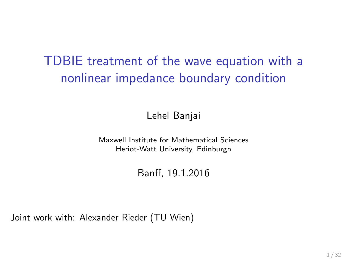# TDBIE treatment of the wave equation with a nonlinear impedance boundary condition

Lehel Banjai

Maxwell Institute for Mathematical Sciences Heriot-Watt University, Edinburgh

Banff, 19.1.2016

Joint work with: Alexander Rieder (TU Wien)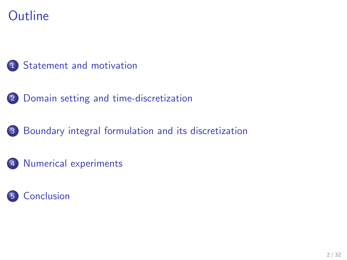# **Outline**



- [Domain setting and time-discretization](#page-9-0)
- [Boundary integral formulation and its discretization](#page-16-0)
- [Numerical experiments](#page-29-0)

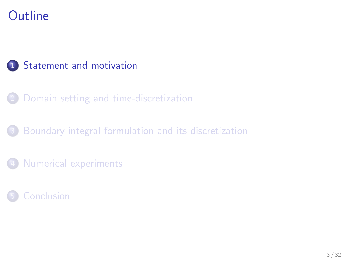# **Outline**

### 1 [Statement and motivation](#page-2-0)

- 2 [Domain setting and time-discretization](#page-9-0)
- [Boundary integral formulation and its discretization](#page-16-0)
- [Numerical experiments](#page-29-0)

<span id="page-2-0"></span>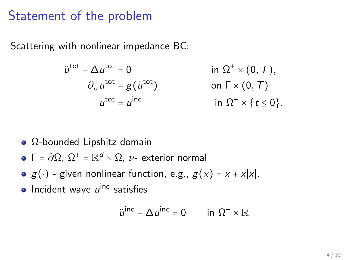### Statement of the problem

Scattering with nonlinear impedance BC:

$$
\ddot{u}^{\text{tot}} - \Delta u^{\text{tot}} = 0 \qquad \text{in } \Omega^+ \times (0, T),
$$
  
\n
$$
\partial_{\nu}^+ u^{\text{tot}} = g(u^{\text{tot}}) \qquad \text{on } \Gamma \times (0, T)
$$
  
\n
$$
u^{\text{tot}} = u^{\text{inc}} \qquad \text{in } \Omega^+ \times \{t \le 0\}.
$$

- Ω-bounded Lipshitz domain
- $\Gamma$  =  $\partial\Omega$ ,  $\Omega^+$  =  $\mathbb{R}^d \smallsetminus \overline{\Omega}$ ,  $\nu$  exterior normal
- $g(\cdot)$  given nonlinear function, e.g.,  $g(x) = x + x|x|$ .
- Incident wave  $u^{\text{inc}}$  satisfies

$$
\ddot{u}^{\text{inc}} - \Delta u^{\text{inc}} = 0 \qquad \text{in } \Omega^+ \times \mathbb{R}
$$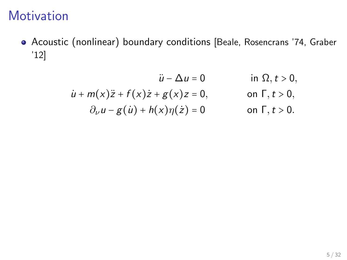# **Motivation**

- Acoustic (nonlinear) boundary conditions [Beale, Rosencrans '74, Graber '12]
	- $\ddot{u} \Delta u = 0$  in  $\Omega, t > 0$ ,
	- $\dot{u} + m(x)\ddot{z} + f(x)\dot{z} + g(x)\dot{z} = 0,$  on  $\Gamma, t > 0,$  $\partial_{\nu}u - g(\mu) + h(x)\eta(\dot{z}) = 0$  on  $\Gamma, t > 0$ .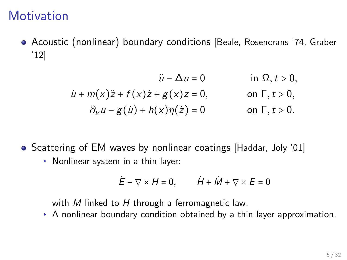## **Motivation**

Acoustic (nonlinear) boundary conditions [Beale, Rosencrans '74, Graber '12]

$$
\ddot{u} - \Delta u = 0 \qquad \text{in } \Omega, t > 0,
$$
  
\n
$$
\dot{u} + m(x)\ddot{z} + f(x)\dot{z} + g(x)\dot{z} = 0, \qquad \text{on } \Gamma, t > 0,
$$
  
\n
$$
\partial_{\nu}u - g(\dot{u}) + h(x)\eta(\dot{z}) = 0 \qquad \text{on } \Gamma, t > 0.
$$

- Scattering of EM waves by nonlinear coatings [Haddar, Joly '01]
	- ▸ Nonlinear system in a thin layer:

$$
\dot{E} - \nabla \times H = 0, \qquad \dot{H} + \dot{M} + \nabla \times E = 0
$$

with  $M$  linked to  $H$  through a ferromagnetic law.

▸ A nonlinear boundary condition obtained by a thin layer approximation.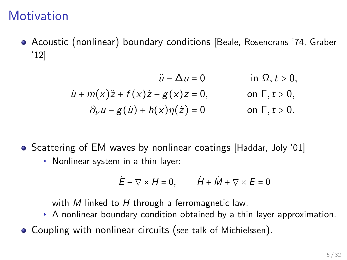## **Motivation**

Acoustic (nonlinear) boundary conditions [Beale, Rosencrans '74, Graber '12]

$$
\ddot{u} - \Delta u = 0 \qquad \text{in } \Omega, t > 0,
$$
  
\n
$$
\dot{u} + m(x)\ddot{z} + f(x)\dot{z} + g(x)\dot{z} = 0, \qquad \text{on } \Gamma, t > 0,
$$
  
\n
$$
\partial_{\nu}u - g(\dot{u}) + h(x)\eta(\dot{z}) = 0 \qquad \text{on } \Gamma, t > 0.
$$

- Scattering of EM waves by nonlinear coatings [Haddar, Joly '01]
	- ▸ Nonlinear system in a thin layer:

$$
\dot{E} - \nabla \times H = 0, \qquad \dot{H} + \dot{M} + \nabla \times E = 0
$$

with M linked to H through a ferromagnetic law.

- ▸ A nonlinear boundary condition obtained by a thin layer approximation.
- Coupling with nonlinear circuits (see talk of Michielssen).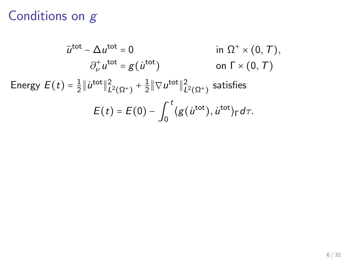# Conditions on g

$$
\ddot{u}^{\text{tot}} - \Delta u^{\text{tot}} = 0 \qquad \text{in } \Omega^{+} \times (0, \mathcal{T}),
$$

$$
\partial_{\nu}^{+} u^{\text{tot}} = g(\dot{u}^{\text{tot}}) \qquad \text{on } \Gamma \times (0, \mathcal{T})
$$

$$
\text{Energy } E(t) = \frac{1}{2} \|\dot{u}^{\text{tot}}\|_{L^{2}(\Omega^{+})}^{2} + \frac{1}{2} \|\nabla u^{\text{tot}}\|_{L^{2}(\Omega^{+})}^{2} \text{ satisfies}
$$

$$
E(t) = E(0) - \int_{0}^{t} \langle g(\dot{u}^{\text{tot}}), \dot{u}^{\text{tot}} \rangle_{\Gamma} d\tau.
$$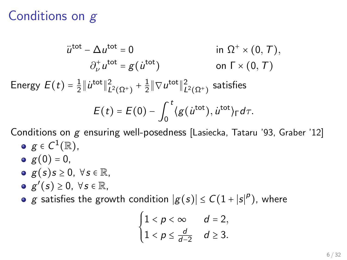# Conditions on g

$$
\ddot{u}^{\text{tot}} - \Delta u^{\text{tot}} = 0 \qquad \text{in } \Omega^+ \times (0, T),
$$

$$
\partial_{\nu}^+ u^{\text{tot}} = g(\dot{u}^{\text{tot}}) \qquad \text{on } \Gamma \times (0, T)
$$
  
Energy  $E(t) = \frac{1}{2} ||\dot{u}^{\text{tot}}||^2_{L^2(\Omega^+)} + \frac{1}{2} ||\nabla u^{\text{tot}}||^2_{L^2(\Omega^+)}$  satisfies

$$
E(t) = E(0) - \int_0^t \langle g(u^{\text{tot}}), u^{\text{tot}} \rangle_{\Gamma} d\tau.
$$

Conditions on g ensuring well-posedness [Lasiecka, Tataru '93, Graber '12]

- $g\in C^1(\mathbb{R}),$
- $g(0) = 0$ ,
- $g(s)$ s  $\geq 0$ ,  $\forall s \in \mathbb{R}$ ,
- $g'(s) \geq 0, \forall s \in \mathbb{R},$
- g satisfies the growth condition  $|g(s)| \le C(1+|s|^p)$ , where

$$
\begin{cases} 1 < p < \infty \\ 1 < p \leq \frac{d}{d-2} & d \geq 3. \end{cases}
$$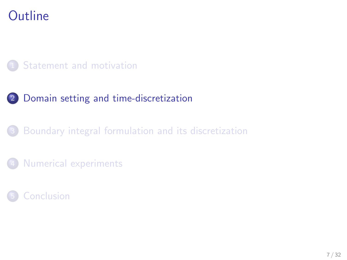# **Outline**

### **[Statement and motivation](#page-2-0)**

### 2 [Domain setting and time-discretization](#page-9-0)

### [Boundary integral formulation and its discretization](#page-16-0)

[Numerical experiments](#page-29-0)

### <span id="page-9-0"></span>**[Conclusion](#page-35-0)**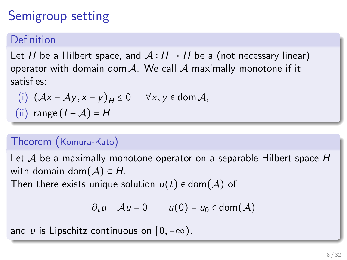# Semigroup setting

### **Definition**

Let H be a Hilbert space, and  $A: H \rightarrow H$  be a (not necessary linear) operator with domain dom  $A$ . We call  $A$  maximally monotone if it satisfies:

(i) 
$$
(Ax - Ay, x - y)_H \le 0
$$
  $\forall x, y \in \text{dom } A$ ,  
(ii) range  $(I - A) = H$ 

### Theorem (Komura-Kato)

Let  $\mathcal A$  be a maximally monotone operator on a separable Hilbert space H with domain dom $(\mathcal{A}) \subset H$ .

Then there exists unique solution  $u(t) \in \text{dom}(\mathcal{A})$  of

$$
\partial_t u - \mathcal{A}u = 0 \qquad u(0) = u_0 \in \text{dom}(\mathcal{A})
$$

and u is Lipschitz continuous on  $[0,+\infty)$ .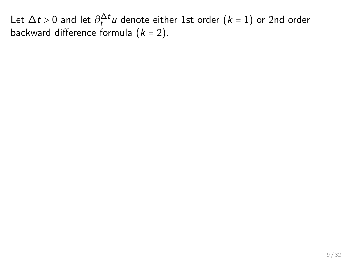Let  $\Delta t > 0$  and let  $\partial_t^{\Delta t} u$  denote either 1st order  $(k = 1)$  or 2nd order backward difference formula  $(k = 2)$ .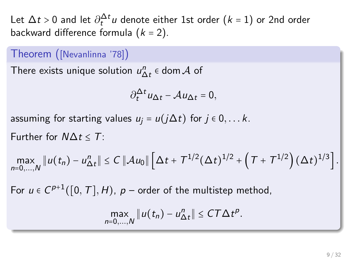Let  $\Delta t > 0$  and let  $\partial_t^{\Delta t} u$  denote either 1st order  $(k = 1)$  or 2nd order backward difference formula  $(k = 2)$ .

#### Theorem ([Nevanlinna '78])

There exists unique solution  $u_{\Delta t}^n \in \text{dom}\, \mathcal{A}$  of

$$
\partial_t^{\Delta t} u_{\Delta t} - \mathcal{A} u_{\Delta t} = 0,
$$

assuming for starting values  $u_i = u(j\Delta t)$  for  $j \in 0, \ldots k$ .

Further for  $N\Delta t \leq T$ :

$$
\max_{n=0,\dots,N} \|u(t_n)-u_{\Delta t}^n\| \le C \, \|\mathcal{A} u_0\| \left[\Delta t + T^{1/2} (\Delta t)^{1/2} + \left(T + T^{1/2}\right) (\Delta t)^{1/3}\right].
$$

For  $u \in C^{p+1}([0, T], H)$ ,  $p$  – order of the multistep method,

$$
\max_{n=0,\ldots,N} \|u(t_n)-u_{\Delta t}^n\| \leq C T \Delta t^p.
$$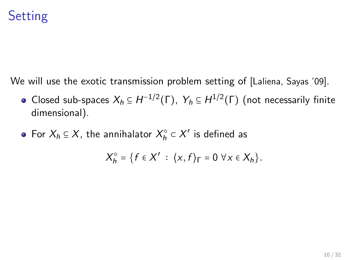# **Setting**

We will use the exotic transmission problem setting of [Laliena, Sayas '09].

- Closed sub-spaces  $X_h \subseteq H^{-1/2}(\Gamma)$ ,  $Y_h \subseteq H^{1/2}(\Gamma)$  (not necessarily finite dimensional).
- For  $X_h \subseteq X$ , the annihalator  $X_h^{\circ} \subset X'$  is defined as

$$
X_h^{\circ} = \{f \in X' : \langle x, f \rangle_{\Gamma} = 0 \,\,\forall x \in X_h\}.
$$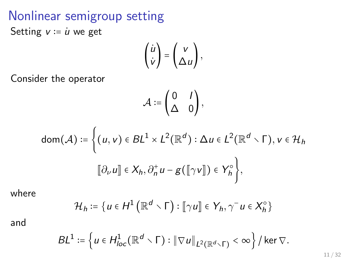### Nonlinear semigroup setting Setting  $v = u$  we get

$$
\begin{pmatrix} \dot{u} \\ \dot{v} \end{pmatrix} = \begin{pmatrix} v \\ \Delta u \end{pmatrix},
$$

Consider the operator

$$
\mathcal{A} := \begin{pmatrix} 0 & I \\ \Delta & 0 \end{pmatrix},
$$

$$
dom(\mathcal{A}) \coloneqq \left\{ (u, v) \in BL^1 \times L^2(\mathbb{R}^d) : \Delta u \in L^2(\mathbb{R}^d \setminus \Gamma), v \in \mathcal{H}_h \right\}
$$

$$
[[\partial_\nu u]] \in X_h, \partial_n^+ u - g([\gamma v]]) \in Y_h^\circ \right\},
$$

where

$$
\mathcal{H}_h \coloneqq \{ u \in H^1\left( \mathbb{R}^d \setminus \Gamma \right) : \llbracket \gamma u \rrbracket \in Y_h, \gamma^- u \in X_h^\circ \}
$$

and

$$
BL^1 := \left\{ u \in H^1_{loc}(\mathbb{R}^d \setminus \Gamma) : \left\| \nabla u \right\|_{L^2(\mathbb{R}^d \setminus \Gamma)} < \infty \right\} / \ker \nabla.
$$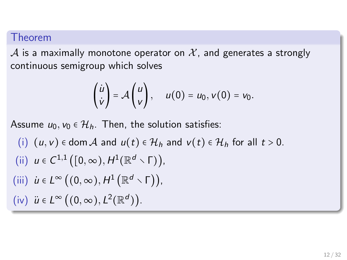#### Theorem

A is a maximally monotone operator on  $X$ , and generates a strongly continuous semigroup which solves

$$
\begin{pmatrix} \dot{u} \\ \dot{v} \end{pmatrix} = \mathcal{A} \begin{pmatrix} u \\ v \end{pmatrix}, \quad u(0) = u_0, v(0) = v_0.
$$

Assume  $u_0, v_0 \in \mathcal{H}_h$ . Then, the solution satisfies:

\n- (i) 
$$
(u, v) \in \text{dom } A
$$
 and  $u(t) \in \mathcal{H}_h$  and  $v(t) \in \mathcal{H}_h$  for all  $t > 0$ .
\n- (ii)  $u \in C^{1,1}([0, \infty), H^1(\mathbb{R}^d \setminus \Gamma)),$
\n- (iii)  $\dot{u} \in L^{\infty}((0, \infty), H^1(\mathbb{R}^d \setminus \Gamma)),$
\n- (iv)  $\ddot{u} \in L^{\infty}((0, \infty), L^2(\mathbb{R}^d)).$
\n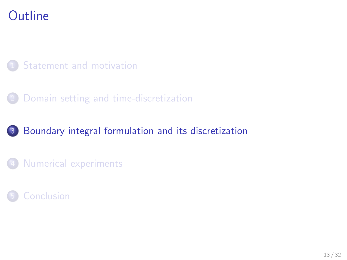# **Outline**

### **[Statement and motivation](#page-2-0)**

### 2 [Domain setting and time-discretization](#page-9-0)

### 3 [Boundary integral formulation and its discretization](#page-16-0)

[Numerical experiments](#page-29-0)

### <span id="page-16-0"></span>**[Conclusion](#page-35-0)**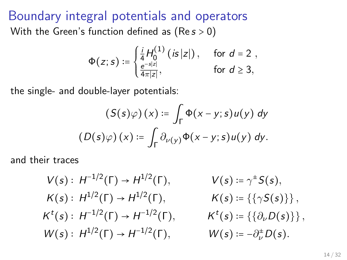Boundary integral potentials and operators With the Green's function defined as  $(Re s > 0)$ 

$$
\Phi(z; s) := \begin{cases} \frac{i}{4} H_0^{(1)} (is |z|), & \text{for } d = 2, \\ \frac{e^{-s|z|}}{4\pi|z|}, & \text{for } d \ge 3, \end{cases}
$$

the single- and double-layer potentials:

$$
(S(s)\varphi)(x) := \int_{\Gamma} \Phi(x - y; s)u(y) dy
$$

$$
(D(s)\varphi)(x) := \int_{\Gamma} \partial_{\nu(y)} \Phi(x - y; s)u(y) dy.
$$

and their traces

$$
V(s): H^{-1/2}(\Gamma) \to H^{1/2}(\Gamma), \qquad V(s) := \gamma^{\pm} S(s),
$$
  
\n
$$
K(s): H^{1/2}(\Gamma) \to H^{1/2}(\Gamma), \qquad K(s) := \{\{\gamma S(s)\}\},
$$
  
\n
$$
K^{t}(s): H^{-1/2}(\Gamma) \to H^{-1/2}(\Gamma), \qquad K^{t}(s) := \{\partial_{\nu} D(s)\},
$$
  
\n
$$
W(s): H^{1/2}(\Gamma) \to H^{-1/2}(\Gamma), \qquad W(s) := -\partial_{\nu}^{\pm} D(s).
$$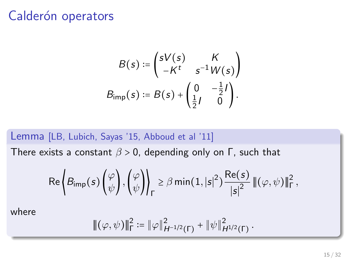### Calderón operators

$$
B(s) := \begin{pmatrix} sV(s) & K \\ -K^t & s^{-1}W(s) \end{pmatrix}
$$

$$
B_{\text{imp}}(s) := B(s) + \begin{pmatrix} 0 & -\frac{1}{2}I \\ \frac{1}{2}I & 0 \end{pmatrix}.
$$

#### Lemma [LB, Lubich, Sayas '15, Abboud et al '11]

There exists a constant  $\beta > 0$ , depending only on Γ, such that

$$
\text{Re}\left\{\mathcal{B}_{\text{imp}}(s)\begin{pmatrix} \varphi \\ \psi \end{pmatrix}, \begin{pmatrix} \varphi \\ \psi \end{pmatrix}\right\}_\Gamma \geq \beta \min(1,|s|^2) \frac{\text{Re}(s)}{|s|^2} \left\|(\varphi, \psi)\right\|_\Gamma^2,
$$

where

$$
|\!|\!|(\varphi,\psi)|\!|\!|_{{\Gamma}}^2\coloneqq\|\varphi\|_{H^{-1/2}({\Gamma})}^2+\|\psi\|_{H^{1/2}({\Gamma})}^2\,.
$$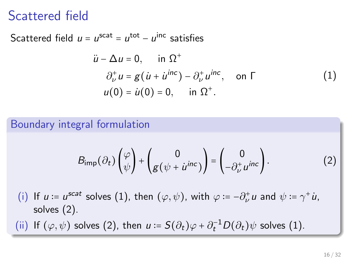### Scattered field

Scattered field  $u = u^{\text{scat}} = u^{\text{tot}} - u^{\text{inc}}$  satisfies

<span id="page-19-0"></span>
$$
\ddot{u} - \Delta u = 0, \quad \text{in } \Omega^+
$$
  
\n
$$
\partial_{\nu}^{+} u = g(u + i u^{\text{inc}}) - \partial_{\nu}^{+} u^{\text{inc}}, \quad \text{on } \Gamma
$$
  
\n
$$
u(0) = \dot{u}(0) = 0, \quad \text{in } \Omega^+.
$$
\n(1)

#### Boundary integral formulation

<span id="page-19-1"></span>
$$
B_{\text{imp}}(\partial_t) \begin{pmatrix} \varphi \\ \psi \end{pmatrix} + \begin{pmatrix} 0 \\ g(\psi + \dot{u}^{inc}) \end{pmatrix} = \begin{pmatrix} 0 \\ -\partial_{\nu}^{\dagger} u^{inc} \end{pmatrix}.
$$
 (2)

(i) If  $u := u^{scat}$  solves [\(1\)](#page-19-0), then  $(\varphi, \psi)$ , with  $\varphi := -\partial_{\nu}^+ u$  and  $\psi := \gamma^+ u$ , solves [\(2\)](#page-19-1).

(ii) If  $(\varphi, \psi)$  solves [\(2\)](#page-19-1), then  $u = S(\partial_t)\varphi + \partial_t^{-1}D(\partial_t)\psi$  solves [\(1\)](#page-19-0).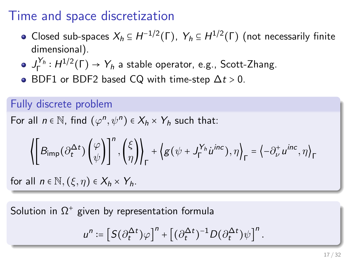### Time and space discretization

- Closed sub-spaces  $X_h \subseteq H^{-1/2}(\Gamma)$ ,  $Y_h \subseteq H^{1/2}(\Gamma)$  (not necessarily finite dimensional).
- $J_{\Gamma}^{Y_h}:H^{1/2}(\Gamma)\to Y_h$  a stable operator, e.g., Scott-Zhang.
- $\bullet$  BDF1 or BDF2 based CQ with time-step  $\Delta t > 0$ .

#### Fully discrete problem

For all  $n \in \mathbb{N}$ , find  $(\varphi^n, \psi^n) \in X_h \times Y_h$  such that:

$$
\left\langle \left[B_{\mathrm{imp}}\big(\partial_t^{\Delta t}\big)\begin{pmatrix}\varphi \\ \psi\end{pmatrix}\right]^{n},\begin{pmatrix}\xi \\ \eta\end{pmatrix}\right\rangle_{\Gamma}+\left\langle g\big(\psi+J_{\Gamma}^{Y_h} \dot{u}^{inc}\big),\eta\right\rangle_{\Gamma}=\left\langle -\partial_{\nu}^{+} u^{inc},\eta\right\rangle_{\Gamma}
$$

for all  $n \in \mathbb{N}, (\xi, \eta) \in X_h \times Y_h$ .

Solution in  $\Omega^+$  given by representation formula

$$
u^n:=\left[S\big(\partial_t^{\Delta t}\big)\varphi\right]^n+\left[\big(\partial_t^{\Delta t}\big)^{-1}D\big(\partial_t^{\Delta t}\big)\psi\right]^n.
$$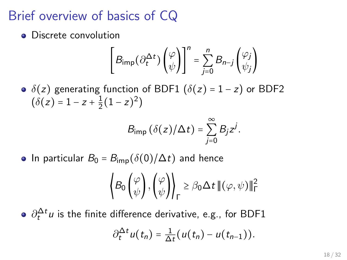# Brief overview of basics of CQ

• Discrete convolution

$$
\left[B_{\text{imp}}(\partial_t^{\Delta t})\begin{pmatrix} \varphi \\ \psi \end{pmatrix}\right]^n = \sum_{j=0}^n B_{n-j} \begin{pmatrix} \varphi_j \\ \psi_j \end{pmatrix}
$$

•  $\delta(z)$  generating function of BDF1 ( $\delta(z) = 1 - z$ ) or BDF2  $(\delta(z) = 1 - z + \frac{1}{2})$  $\frac{1}{2}(1-z)^2$ 

$$
B_{\text{imp}}\left(\delta(z)/\Delta t\right)=\sum_{j=0}^{\infty}B_jz^j.
$$

• In particular  $B_0 = B_{\rm imp}(\delta(0)/\Delta t)$  and hence

$$
\left\langle B_0 \begin{pmatrix} \varphi \\ \psi \end{pmatrix}, \begin{pmatrix} \varphi \\ \psi \end{pmatrix} \right\rangle_{\Gamma} \ge \beta_0 \Delta t \left\| (\varphi, \psi) \right\|_{\Gamma}^2
$$

 $\partial_t^{\Delta t} \iota$  is the finite difference derivative, e.g., for BDF1  $\partial_t^{\Delta t} u(t_n) = \frac{1}{\Delta}$  $\frac{1}{\Delta t}(u(t_n)-u(t_{n-1})).$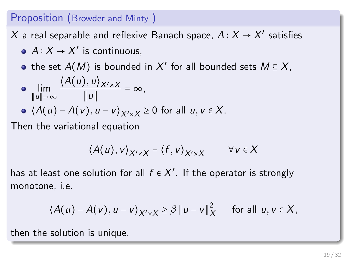### Proposition (Browder and Minty )

 $X$  a real separable and reflexive Banach space,  $A\colon\! X\to\! X'$  satisfies

- $A: X \rightarrow X'$  is continuous,
- the set  $A(M)$  is bounded in  $X'$  for all bounded sets  $M \subseteq X,$

$$
\bullet \quad \lim_{\|u\|\to\infty} \frac{\langle A(u), u \rangle_{X' \times X}}{\|u\|} = \infty,
$$

• 
$$
\langle A(u) - A(v), u - v \rangle_{X' \times X} \ge 0
$$
 for all  $u, v \in X$ .

Then the variational equation

$$
\langle A(u),v\rangle_{X'\times X}=\langle f,v\rangle_{X'\times X} \qquad \forall v\in X
$$

has at least one solution for all  $f \in X'.$  If the operator is strongly monotone, i.e.

$$
\langle A(u) - A(v), u - v \rangle_{X' \times X} \geq \beta \| u - v \|_X^2 \quad \text{for all } u, v \in X,
$$

then the solution is unique.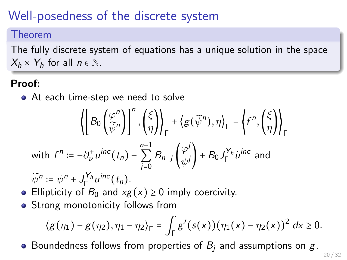# Well-posedness of the discrete system

#### Theorem

The fully discrete system of equations has a unique solution in the space  $X_h \times Y_h$  for all  $n \in \mathbb{N}$ .

#### Proof:

• At each time-step we need to solve

$$
\left\langle \left[ B_0 \left( \frac{\varphi^n}{\tilde{\psi}^n} \right) \right]^n, \left( \frac{\xi}{\eta} \right) \right\rangle_{\Gamma} + \left\langle g(\tilde{\psi}^n), \eta \right\rangle_{\Gamma} = \left\langle f^n, \left( \frac{\xi}{\eta} \right) \right\rangle_{\Gamma}
$$
\nwith  $f^n := -\partial_{\nu}^+ u^{inc}(t_n) - \sum_{j=0}^{n-1} B_{n-j} \left( \frac{\varphi^j}{\psi^j} \right) + B_0 J_{\Gamma}^{Y_h} u^{inc}$  and\n
$$
\widetilde{\chi}^n_{\Gamma} = \left\langle f^n, \left( \frac{\xi}{\eta} \right) \right\rangle_{\Gamma} \left\langle g \left( \frac{\xi}{\eta} \right) \right\rangle_{\Gamma} = \left\langle f^n, \left( \frac{\xi}{\eta} \right) \right\rangle_{\Gamma}
$$

- $\widetilde{\psi}^n := \psi^n + J_{\Gamma}^{Y_h} u^{inc}(t_n).$
- Ellipticity of  $B_0$  and  $xg(x) \ge 0$  imply coercivity.
- Strong monotonicity follows from

$$
\langle g(\eta_1) - g(\eta_2), \eta_1 - \eta_2 \rangle_{\Gamma} = \int_{\Gamma} g'(s(x)) (\eta_1(x) - \eta_2(x))^2 dx \ge 0.
$$

• Boundedness follows from properties of  $B_i$  and assumptions on  $g$ .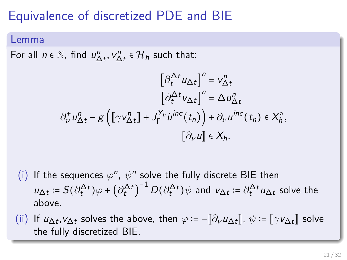# Equivalence of discretized PDE and BIE

#### Lemma

For all  $n \in \mathbb{N}$ , find  $u_{\Delta t}^n, v_{\Delta t}^n \in \mathcal{H}_h$  such that:

$$
\begin{aligned} \left[\partial_t^{\Delta t} u_{\Delta t}\right]^n &= v_{\Delta t}^n\\ \left[\partial_t^{\Delta t} v_{\Delta t}\right]^n &= \Delta u_{\Delta t}^n\\ \partial_\nu^+ u_{\Delta t}^n - g\left(\left[\!\left[\gamma v_{\Delta t}^n\right]\!\right] + J_\Gamma^{Y_h} \dot{u}^{inc}\left(t_n\right)\right) + \partial_\nu u^{inc}\left(t_n\right) \in X_h^\circ,\\ \left[\!\left[\partial_\nu u\right]\!\right] &\in X_h. \end{aligned}
$$

- (i) If the sequences  $\varphi^n$ ,  $\psi^n$  solve the fully discrete BIE then  $u_{\Delta t}\coloneqq S(\partial_t^{\Delta t})\varphi+\left(\partial_t^{\Delta t}\right)^{-1}D(\partial_t^{\Delta t})\psi$  and  $v_{\Delta t}\coloneqq\partial_t^{\Delta t}u_{\Delta t}$  solve the above.
- (ii) If  $u_{\Delta t}$ ,  $v_{\Delta t}$  solves the above, then  $\varphi := [\partial_{\nu} u_{\Delta t}], \psi := [\![\gamma v_{\Delta t}]\!]$  solve the fully discretized PIE the fully discretized BIE.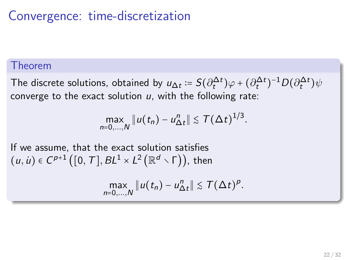# Convergence: time-discretization

#### Theorem

The discrete solutions, obtained by  $u_{\Delta t}\coloneqq S(\partial^{\Delta t}_t)\varphi+(\partial^{\Delta t}_t)^{-1}D(\partial^{\Delta t}_t)\psi$ converge to the exact solution  $u$ , with the following rate:

$$
\max_{n=0,\ldots,N} \|u(t_n)-u_{\Delta t}^n\| \lesssim \mathcal{T}(\Delta t)^{1/3}.
$$

If we assume, that the exact solution satisfies  $(u, \dot{u}) \in C^{p+1}\big([0,\, T], BL^{1} \times L^{2}\big(\mathbb{R}^{d} \smallsetminus \mathsf{\Gamma} \big) \big)$ , then

$$
\max_{n=0,\ldots,N} \|u(t_n)-u_{\Delta t}^n\| \lesssim T(\Delta t)^p.
$$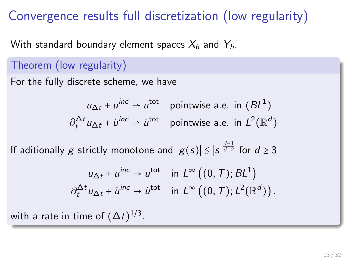## Convergence results full discretization (low regularity)

With standard boundary element spaces  $X_h$  and  $Y_h$ .

### Theorem (low regularity)

For the fully discrete scheme, we have

$$
u_{\Delta t} + u^{\text{inc}} \rightharpoonup u^{\text{tot}} \quad \text{pointwise a.e. in } (BL^1)
$$
\n
$$
\partial_t^{\Delta t} u_{\Delta t} + u^{\text{inc}} \rightharpoonup u^{\text{tot}} \quad \text{pointwise a.e. in } L^2(\mathbb{R}^d)
$$

If aditionally  $g$  strictly monotone and  $|g(s)|\lesssim |s|^{\frac{d-1}{d-2}}$  for  $d\geq 3$ 

$$
u_{\Delta t} + u^{\text{inc}} \to u^{\text{tot}} \quad \text{in } L^{\infty}((0, T); BL^1)
$$

$$
\partial_t^{\Delta t} u_{\Delta t} + u^{\text{inc}} \to u^{\text{tot}} \quad \text{in } L^{\infty}((0, T); L^2(\mathbb{R}^d)).
$$

with a rate in time of  $(\Delta t)^{1/3}.$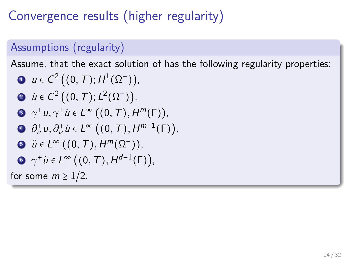# Convergence results (higher regularity)

### Assumptions (regularity)

Assume, that the exact solution of has the following regularity properties:

\n- **①** 
$$
u \in C^2((0, T); H^1(\Omega^-)),
$$
\n- **②**  $\dot{u} \in C^2((0, T); L^2(\Omega^-)),$
\n- **②**  $\gamma^+ u, \gamma^+ \dot{u} \in L^\infty((0, T), H^m(\Gamma)),$
\n- **④**  $\partial^+_\nu u, \partial^+_\nu \dot{u} \in L^\infty((0, T), H^{m-1}(\Gamma)),$
\n- **③**  $\ddot{u} \in L^\infty((0, T), H^m(\Omega^-)),$
\n- **④**  $\gamma^+ \dot{u} \in L^\infty((0, T), H^{d-1}(\Gamma)),$
\n- **③**  $\gamma^+ \dot{u} \in L^\infty((0, T), H^{d-1}(\Gamma)),$
\n- **6**  $\gamma$  some  $m \geq 1/2$ .
\n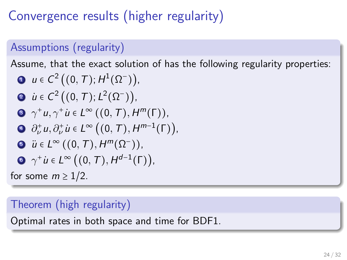# Convergence results (higher regularity)

### Assumptions (regularity)

Assume, that the exact solution of has the following regularity properties:

\n- **①** 
$$
u \in C^2((0, T); H^1(\Omega^-)),
$$
\n- **②**  $\dot{u} \in C^2((0, T); L^2(\Omega^-)),$
\n- **②**  $\gamma^+ u, \gamma^+ \dot{u} \in L^\infty((0, T), H^m(\Gamma)),$
\n- **④**  $\partial^+_\nu u, \partial^+_\nu \dot{u} \in L^\infty((0, T), H^{m-1}(\Gamma)),$
\n- **③**  $\ddot{u} \in L^\infty((0, T), H^m(\Omega^-)),$
\n- **④**  $\gamma^+ \dot{u} \in L^\infty((0, T), H^{d-1}(\Gamma)),$
\n- **③**  $\gamma^+ \dot{u} \in L^\infty((0, T), H^{d-1}(\Gamma)),$
\n- **6**  $\gamma$  some  $m \geq 1/2$ .
\n

### Theorem (high regularity)

Optimal rates in both space and time for BDF1.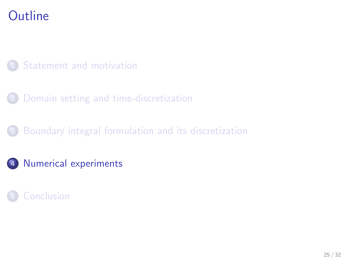# **Outline**

### [Statement and motivation](#page-2-0)

- 2 [Domain setting and time-discretization](#page-9-0)
- [Boundary integral formulation and its discretization](#page-16-0)
- 4 [Numerical experiments](#page-29-0)

<span id="page-29-0"></span>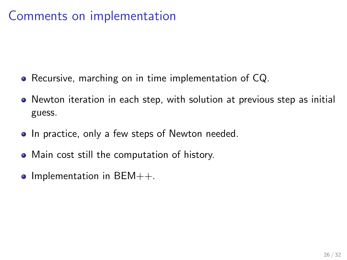## Comments on implementation

- Recursive, marching on in time implementation of CQ.
- Newton iteration in each step, with solution at previous step as initial guess.
- In practice, only a few steps of Newton needed.
- Main cost still the computation of history.
- $\bullet$  Implementation in BEM++.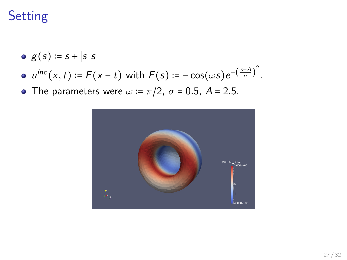# **Setting**

- $g(s) := s + |s|s$
- $u^{inc}(x,t) \coloneqq F(x-t)$  with  $F(s) \coloneqq -\cos(\omega s) e^{-\left(\frac{s-A}{\sigma}\right)^2}$ .
- The parameters were  $\omega := \pi/2$ ,  $\sigma = 0.5$ ,  $A = 2.5$ .

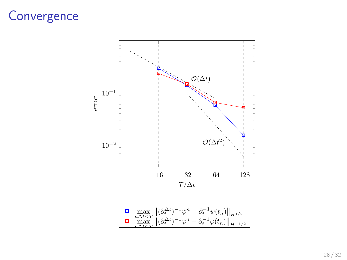### **Convergence**

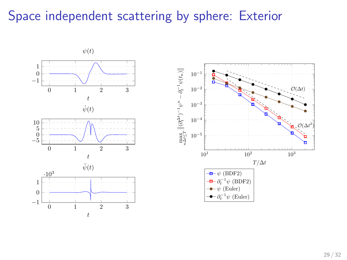### Space independent scattering by sphere: Exterior

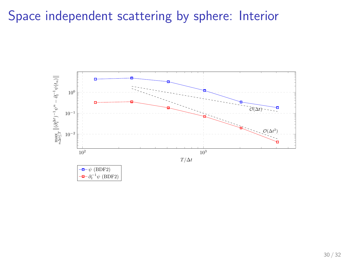# Space independent scattering by sphere: Interior

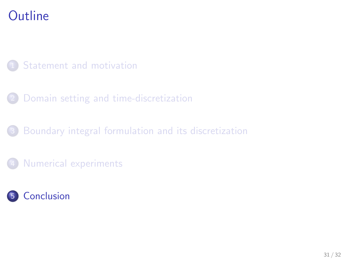# **Outline**

### [Statement and motivation](#page-2-0)

- 2 [Domain setting and time-discretization](#page-9-0)
- [Boundary integral formulation and its discretization](#page-16-0)
- [Numerical experiments](#page-29-0)

<span id="page-35-0"></span>